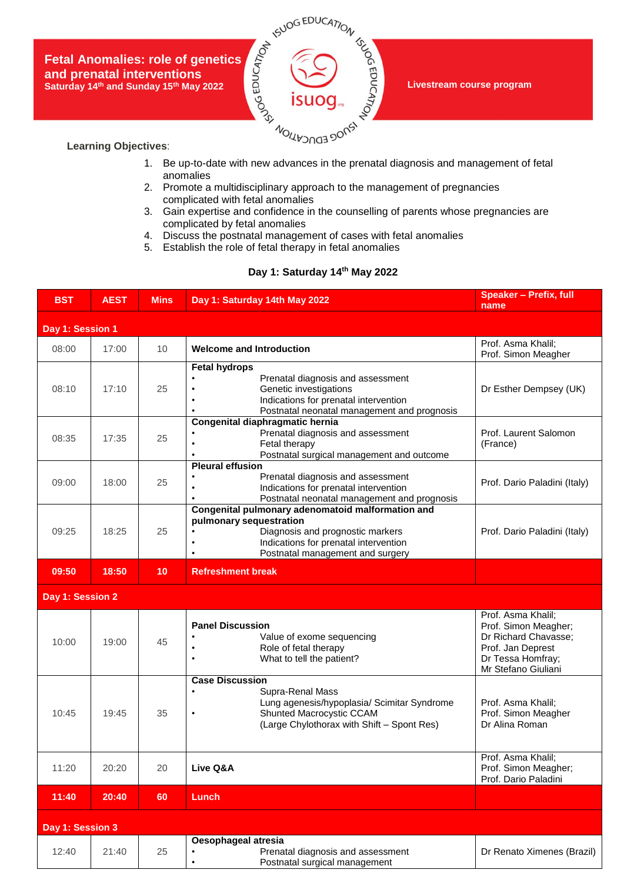**Fetal Anomalies: role of genetics and prenatal interventions Saturday 14th and Sunday 15th May 2022**



**Livestream course program**

## **Learning Objectives**:

- 1. Be up-to-date with new advances in the prenatal diagnosis and management of fetal anomalies
- 2. Promote a multidisciplinary approach to the management of pregnancies complicated with fetal anomalies
- 3. Gain expertise and confidence in the counselling of parents whose pregnancies are complicated by fetal anomalies
- 4. Discuss the postnatal management of cases with fetal anomalies
- 5. Establish the role of fetal therapy in fetal anomalies

## **Day 1: Saturday 14th May 2022**

| <b>BST</b>       | <b>AEST</b> | <b>Mins</b> | Day 1: Saturday 14th May 2022                                                                                                                                                                      | <b>Speaker - Prefix, full</b><br>name                                                                                               |
|------------------|-------------|-------------|----------------------------------------------------------------------------------------------------------------------------------------------------------------------------------------------------|-------------------------------------------------------------------------------------------------------------------------------------|
| Day 1: Session 1 |             |             |                                                                                                                                                                                                    |                                                                                                                                     |
| 08:00            | 17:00       | 10          | <b>Welcome and Introduction</b>                                                                                                                                                                    | Prof. Asma Khalil;<br>Prof. Simon Meagher                                                                                           |
| 08:10            | 17:10       | 25          | <b>Fetal hydrops</b><br>Prenatal diagnosis and assessment<br>Genetic investigations<br>Indications for prenatal intervention<br>Postnatal neonatal management and prognosis                        | Dr Esther Dempsey (UK)                                                                                                              |
| 08:35            | 17:35       | 25          | Congenital diaphragmatic hernia<br>Prenatal diagnosis and assessment<br>Fetal therapy<br>Postnatal surgical management and outcome                                                                 | Prof. Laurent Salomon<br>(France)                                                                                                   |
| 09:00            | 18:00       | 25          | <b>Pleural effusion</b><br>Prenatal diagnosis and assessment<br>Indications for prenatal intervention<br>Postnatal neonatal management and prognosis                                               | Prof. Dario Paladini (Italy)                                                                                                        |
| 09:25            | 18:25       | 25          | Congenital pulmonary adenomatoid malformation and<br>pulmonary sequestration<br>Diagnosis and prognostic markers<br>Indications for prenatal intervention<br>٠<br>Postnatal management and surgery | Prof. Dario Paladini (Italy)                                                                                                        |
| 09:50            | 18:50       | 10          | <b>Refreshment break</b>                                                                                                                                                                           |                                                                                                                                     |
| Day 1: Session 2 |             |             |                                                                                                                                                                                                    |                                                                                                                                     |
| 10:00            | 19:00       | 45          | <b>Panel Discussion</b><br>Value of exome sequencing<br>Role of fetal therapy<br>What to tell the patient?                                                                                         | Prof. Asma Khalil;<br>Prof. Simon Meagher;<br>Dr Richard Chavasse;<br>Prof. Jan Deprest<br>Dr Tessa Homfray;<br>Mr Stefano Giuliani |
| 10:45            | 19:45       | 35          | <b>Case Discussion</b><br>Supra-Renal Mass<br>Lung agenesis/hypoplasia/ Scimitar Syndrome<br>Shunted Macrocystic CCAM<br>$\bullet$<br>(Large Chylothorax with Shift - Spont Res)                   | Prof. Asma Khalil;<br>Prof. Simon Meagher<br>Dr Alina Roman                                                                         |
| 11:20            | 20:20       | 20          | Live Q&A                                                                                                                                                                                           | Prof. Asma Khalil;<br>Prof. Simon Meagher;<br>Prof. Dario Paladini                                                                  |
| 11:40            | 20:40       | 60          | Lunch                                                                                                                                                                                              |                                                                                                                                     |
| Day 1: Session 3 |             |             |                                                                                                                                                                                                    |                                                                                                                                     |
| 12:40            | 21:40       | 25          | Oesophageal atresia<br>Prenatal diagnosis and assessment<br>Postnatal surgical management<br>$\bullet$                                                                                             | Dr Renato Ximenes (Brazil)                                                                                                          |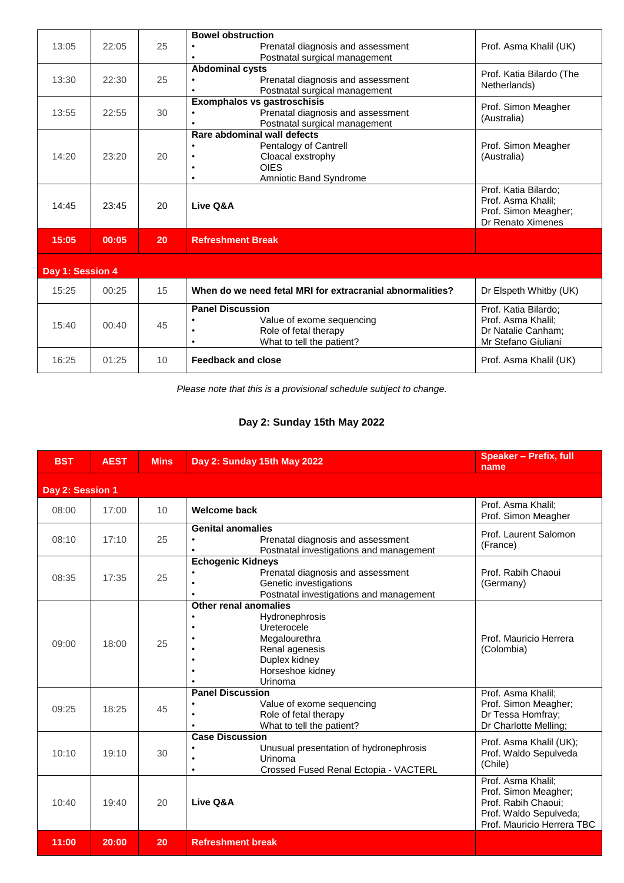|                  |       |    | <b>Bowel obstruction</b>                                                |                                            |
|------------------|-------|----|-------------------------------------------------------------------------|--------------------------------------------|
| 13:05            | 22:05 | 25 | Prenatal diagnosis and assessment<br>Postnatal surgical management      | Prof. Asma Khalil (UK)                     |
|                  |       |    | <b>Abdominal cysts</b>                                                  | Prof. Katia Bilardo (The                   |
| 13:30            | 22:30 | 25 | Prenatal diagnosis and assessment                                       | Netherlands)                               |
|                  |       |    | Postnatal surgical management                                           |                                            |
| 13:55            | 22:55 | 30 | <b>Exomphalos vs gastroschisis</b><br>Prenatal diagnosis and assessment | Prof. Simon Meagher                        |
|                  |       |    | Postnatal surgical management                                           | (Australia)                                |
|                  |       |    | Rare abdominal wall defects                                             |                                            |
|                  |       |    | Pentalogy of Cantrell                                                   | Prof. Simon Meagher                        |
| 14:20            | 23:20 | 20 | Cloacal exstrophy                                                       | (Australia)                                |
|                  |       |    | <b>OIES</b>                                                             |                                            |
|                  |       |    | Amniotic Band Syndrome                                                  |                                            |
|                  |       |    |                                                                         | Prof. Katia Bilardo;<br>Prof. Asma Khalil: |
| 14:45            | 23:45 | 20 | Live Q&A                                                                | Prof. Simon Meagher;                       |
|                  |       |    |                                                                         | Dr Renato Ximenes                          |
| 15:05            | 00:05 | 20 | <b>Refreshment Break</b>                                                |                                            |
|                  |       |    |                                                                         |                                            |
| Day 1: Session 4 |       |    |                                                                         |                                            |
| 15:25            | 00:25 | 15 | When do we need fetal MRI for extracranial abnormalities?               | Dr Elspeth Whitby (UK)                     |
|                  |       |    | <b>Panel Discussion</b>                                                 | Prof. Katia Bilardo:                       |
| 15:40            | 00:40 | 45 | Value of exome sequencing                                               | Prof. Asma Khalil;                         |
|                  |       |    | Role of fetal therapy                                                   | Dr Natalie Canham;                         |
|                  |       |    | What to tell the patient?<br>$\bullet$                                  | Mr Stefano Giuliani                        |
| 16:25            | 01:25 | 10 | <b>Feedback and close</b>                                               | Prof. Asma Khalil (UK)                     |

*Please note that this is a provisional schedule subject to change.*

## **Day 2: Sunday 15th May 2022**

| <b>BST</b>       | <b>AEST</b> | <b>Mins</b> | Day 2: Sunday 15th May 2022                                                                                                                      | <b>Speaker - Prefix, full</b><br>name                                                                                     |
|------------------|-------------|-------------|--------------------------------------------------------------------------------------------------------------------------------------------------|---------------------------------------------------------------------------------------------------------------------------|
| Day 2: Session 1 |             |             |                                                                                                                                                  |                                                                                                                           |
| 08:00            | 17:00       | 10          | <b>Welcome back</b>                                                                                                                              | Prof. Asma Khalil;<br>Prof. Simon Meagher                                                                                 |
| 08:10            | 17:10       | 25          | <b>Genital anomalies</b><br>Prenatal diagnosis and assessment<br>$\bullet$<br>Postnatal investigations and management                            | Prof. Laurent Salomon<br>(France)                                                                                         |
| 08:35            | 17:35       | 25          | <b>Echogenic Kidneys</b><br>Prenatal diagnosis and assessment<br>Genetic investigations<br>Postnatal investigations and management<br>٠          | Prof. Rabih Chaoui<br>(Germany)                                                                                           |
| 09:00            | 18:00       | 25          | <b>Other renal anomalies</b><br>Hydronephrosis<br>Ureterocele<br>Megalourethra<br>Renal agenesis<br>Duplex kidney<br>Horseshoe kidney<br>Urinoma | Prof. Mauricio Herrera<br>(Colombia)                                                                                      |
| 09:25            | 18:25       | 45          | <b>Panel Discussion</b><br>Value of exome sequencing<br>Role of fetal therapy<br>What to tell the patient?                                       | Prof. Asma Khalil;<br>Prof. Simon Meagher;<br>Dr Tessa Homfray;<br>Dr Charlotte Melling;                                  |
| 10:10            | 19:10       | 30          | <b>Case Discussion</b><br>Unusual presentation of hydronephrosis<br>Urinoma<br>Crossed Fused Renal Ectopia - VACTERL<br>٠                        | Prof. Asma Khalil (UK);<br>Prof. Waldo Sepulveda<br>(Chile)                                                               |
| 10:40            | 19:40       | 20          | Live Q&A                                                                                                                                         | Prof. Asma Khalil;<br>Prof. Simon Meagher;<br>Prof. Rabih Chaoui;<br>Prof. Waldo Sepulveda;<br>Prof. Mauricio Herrera TBC |
| 11:00            | 20:00       | 20          | <b>Refreshment break</b>                                                                                                                         |                                                                                                                           |